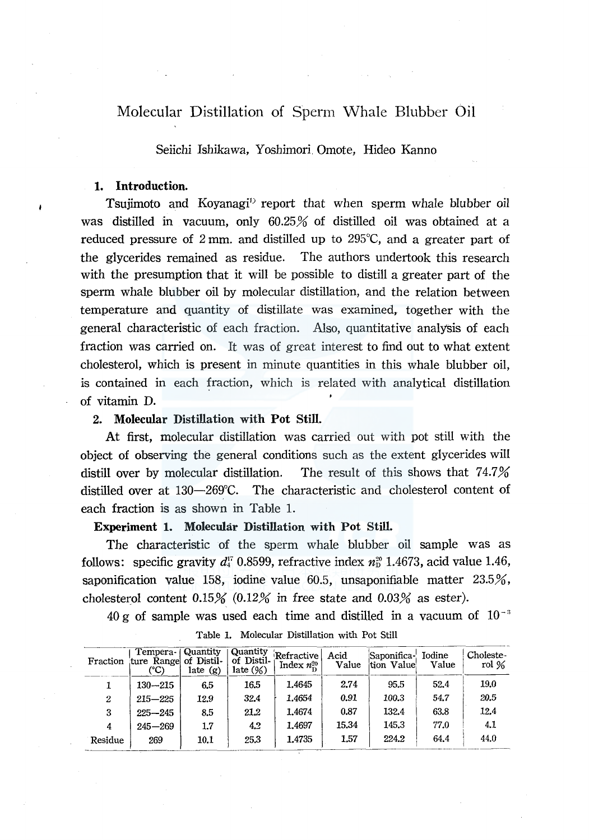# Molecular Distillation of Sperm \Vhale Blubber Oil

Seiichi Ishikawa, Yoshimori Omote, Hideo Kanno

## **1. Introduction.**

Tsujimoto and Koyanagi<sup>1</sup> report that when sperm whale blubber oil was distilled in vacuum, only 60.25% of distilled oil was obtained at a reduced pressure of 2 mm, and distilled up to 295 $\degree$ C, and a greater part of the glycerides remained as residue. The authors undertook this research with the presumption that it will be possible to distill a greater part of the sperm whale blubber oil by molecular distillation, and the relation between temperature and quantity of distillate was examined, together with the general characteristic of each fraction. Also, quantitative analysis of each fraction was carried on. It was of great interest to find out to what extent cholesterol, which is present in minute quantities in this whale blubber oil, is contained in each fraction, which is related with analytical distillation of vitamin D.

### 2. **Molecular Distillation with Pot Still.**

At first, molecular distillation was carried out with pot still with the object of observing the general conditions such as the extent glycerides will distill over by molecular distillation. The result of this shows that  $74.7\%$ distilled over at 130-269°C. The characteristic and cholesterol content of each fraction is as shown in Table 1.

## **Experiment 1. Molecular Distillation with Pot Still.**

The characteristic of the sperm whale blubber oil sample was as follows: specific gravity  $d_4^{r}$  0.8599, refractive index  $n_1^{s_0}$  1.4673, acid value 1.46, saponification value 158, iodine value 60.5, unsaponifiable matter  $23.5\%$ , cholesterol content  $0.15\%$   $(0.12\%$  in free state and  $0.03\%$  as ester).

40 g of sample was used each time and distilled in a vacuum of  $10^{-3}$ 

| Fraction         | Tempera - (Quantity)<br>ture Range of Distil-<br>(°C) | late $(g)$ | Quantity<br>of Distil-<br>late $(\%)$ | Refractive  <br>Index $n_{\rm m}^{20}$ | Acid<br>Value | Saponifica- Iodine<br>tion Value | Value | Choleste-<br>rol % |
|------------------|-------------------------------------------------------|------------|---------------------------------------|----------------------------------------|---------------|----------------------------------|-------|--------------------|
|                  | $130 - 215$                                           | 6.5        | 16.5                                  | 1.4645                                 | 2.74          | 95.5                             | 52.4  | 19.0               |
| $\boldsymbol{2}$ | $215 - 225$                                           | 12.9       | 32.4                                  | 1.4654                                 | 0.91          | 100.3                            | 54.7  | 20.5               |
| 3                | $225 - 245$                                           | 8.5        | 21.2                                  | 1.4674                                 | 0.87          | 132.4                            | 63.8  | 12.4               |
| 4                | $245 - 269$                                           | 1.7        | 4.2                                   | 1.4697                                 | 15.34         | 145.3                            | 77.0  | 4.1                |
| Residue          | 269                                                   | 10.1       | 25.3                                  | 1.4735                                 | 1.57          | 224.2                            | 64.4  | 44.0               |

Table 1. Molecular Distillation with Pot Still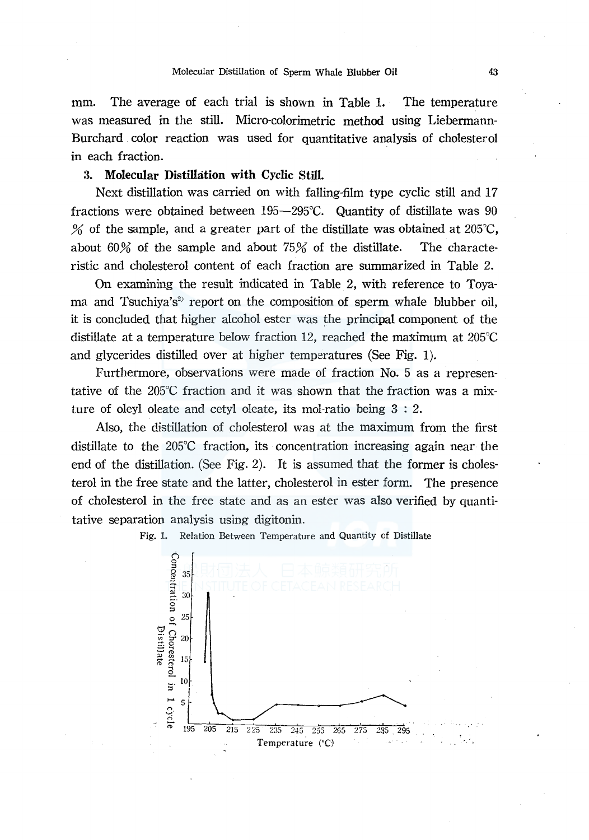mm. The average of each trial is shown in Table 1. The temperature was measured in the still. Micro-colorimetric method using Liebermann-Burchard color reaction was used for quantitative analysis of cholesterol in each fraction.

### 3. Molecular Distillation with Cyclic Still.

Next distillation was carried on with falling-film type cyclic still and 17 fractions were obtained between 195-295°C. Quantity of distillate was 90 % of the sample, and a greater part of the distillate was obtained at  $205^{\circ}$ C, about  $60\%$  of the sample and about  $75\%$  of the distillate. The characteristic and cholesterol content of each fraction are summarized in Table 2.

On examining the result indicated in Table 2, with reference to Toyama and Tsuchiya's<sup>2)</sup> report on the composition of sperm whale blubber oil, it is concluded that higher alcohol ester was the principal component of the distillate at a temperature below fraction 12, reached the maximum at  $205^{\circ}$ C and glycerides distilled over at higher temperatures (See Fig. 1).

Furthermore, observations were made of fraction No. 5 as a representative of the 205°C fraction and it was shown that the fraction was a mixture of oleyl oleate and cetyl oleate, its mol-ratio being 3 : 2.

Also, the distillation of cholesterol was at the maximum from the first distillate to the 205°C fraction, its concentration increasing again near the end of the distillation. (See Fig. 2). It is assumed that the former is cholesterol in the free state and the latter, cholesterol in ester form. The presence of cholesterol in the free state and as an ester was also verified by quantitative separation analysis using digitonin.

Fig. 1. Relation Between Temperature and Quantity of Distillate

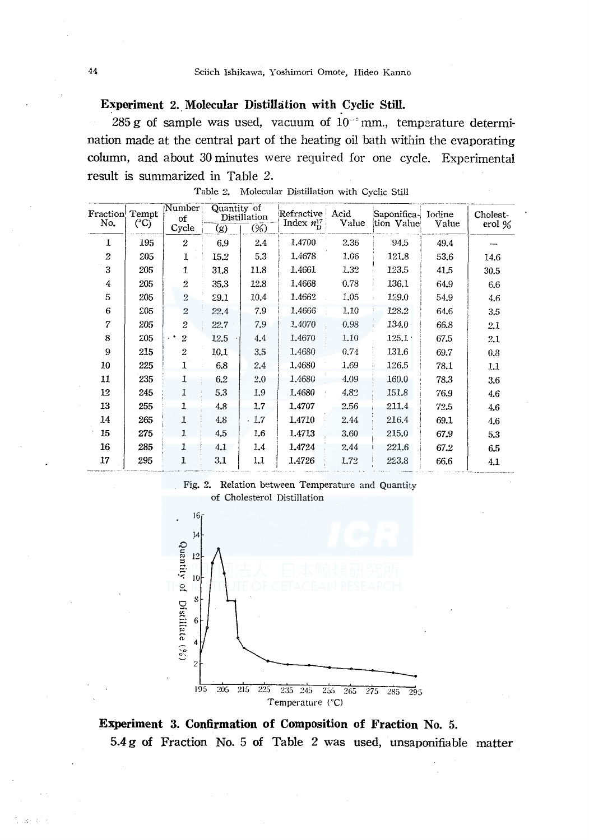Experiment 2. Molecular Distillation with Cyclic Still.

285 g of sample was used, vacuum of  $10^{-3}$  mm., temperature determination made at the central part of the heating oil bath within the evaporating column, and about 30 minutes were required for one cycle. Experimental result is summarized in Table 2.

| Fraction<br>No. | Tempt.<br>$(^{\circ}C)$ | Number<br>of                           | Quantity of<br>Distillation |      | Refractive<br>Index $n_D^{17}$ | Acid<br>Value | Saponifica-<br>tion Value | Iodine<br>Value | Cholest-<br>erol % |  |
|-----------------|-------------------------|----------------------------------------|-----------------------------|------|--------------------------------|---------------|---------------------------|-----------------|--------------------|--|
|                 |                         | Cycle                                  | (g)                         | (%)  |                                |               |                           |                 |                    |  |
| 1               | 195                     | $\overline{c}$                         | 6.9                         | 2.4  | 1.4700                         | 2.36          | 94.5                      | 49.4            |                    |  |
| $\overline{2}$  | 205                     | 1                                      | 15.2                        | 5.3  | 1,4678                         | 1.06          | 121.8                     | 53.6            | 14.6               |  |
| 3               | 205                     | 1                                      | 31.8                        | 11.8 | 1.4661                         | 1.32          | 123.5                     | 41.5            | 30.5               |  |
| 4               | 205                     | 2                                      | 35.3                        | 12.8 | 1,4668                         | 0.78          | 136.1                     | 64.9            | 6.6                |  |
| 5               | 205                     | $\overline{2}$                         | 29.1                        | 10.4 | 1.4662                         | 1.05          | 129.0                     | 54.9            | 4.6                |  |
| 6               | 205                     | $\overline{2}$                         | 22.4                        | 7.9  | 1,4666                         | 1.10          | 128.2                     | 64.6            | 3.5                |  |
| 7               | 205                     | $\overline{2}$                         | 22.7                        | 7.9  | 1.4070                         | 0.98          | 134.0                     | 66.8            | 2.1                |  |
| 8               | 205                     | $\overline{2}$<br>$\ddot{\phantom{1}}$ | 12.5                        | 4.4  | 1.4670                         | 1.10          | $125.1 \cdot$             | 67.5            | 2.1                |  |
| 9               | 215                     | $\overline{2}$                         | 10.1                        | 3.5  | 1.4680                         | 0.74          | 131,6                     | 69.7            | 0.8                |  |
| 10              | 225                     | 1                                      | 6.8                         | 2.4  | 1.4680                         | 1.69          | 126.5                     | 78.1            | 1.1                |  |
| 11              | 235                     | 1                                      | 6,2                         | 2.0  | 1.4680                         | 4.09          | 160.0                     | 78.3            | 3.6                |  |
| 12              | 245                     | 1                                      | 5.3                         | 1.9  | 1.4680                         | 4.82          | 151.8                     | 76.9            | 4.6                |  |
| 13              | 255                     | 1                                      | 4.8                         | 1.7  | 1,4707                         | 2.56          | 211.4                     | 72.5            | 4.6                |  |
| 14              | 265                     | 1                                      | 4.8                         | 1.7  | 1.4710                         | 2.44          | 216.4                     | 69.1            | 4.6                |  |
| 15              | 275                     | 1                                      | 4,5                         | 1.6  | 1.4713                         | 3.60          | 215.0                     | 67.9            | 5.3                |  |
| 16              | 285                     | 1                                      | 4.1                         | 1.4  | 1,4724                         | 2.44          | 221.6                     | 67.2            | 6.5                |  |
| 17              | 295                     | ı                                      | 3,1                         | 1,1  | 1.4726                         | 1.72          | 223.8                     | 66.6            | 4.1                |  |
|                 |                         |                                        |                             |      |                                |               |                           |                 |                    |  |

Table 2. Molecular Distillation with Cyclic Still



Temperature (°C)

Experiment 3. Confirmation of Composition of Fraction No. 5. 5.4 g of Fraction No. 5 of Table 2 was used, unsaponifiable matter